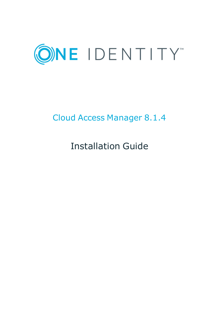

# Cloud Access Manager 8.1.4

Installation Guide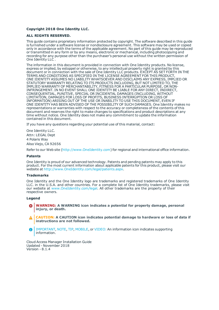#### **Copyright 2018 One Identity LLC.**

#### **ALL RIGHTS RESERVED.**

This guide contains proprietary information protected by copyright. The software described in this guide is furnished under a software license or nondisclosure agreement. This software may be used or copied only in accordance with the terms of the applicable agreement. No part of this guide may be reproduced or transmitted in any form or by any means, electronic or mechanical, including photocopying and recording for any purpose other than the purchaser's personal use without the written permission of One Identity LLC .

The information in this document is provided in connection with One Identity products. No license, express or implied, by estoppel or otherwise, to any intellectual property right is granted by this document or in connection with the sale of One Identity LLC products. EXCEPT AS SET FORTH IN THE TERMS AND CONDITIONS AS SPECIFIED IN THE LICENSE AGREEMENT FOR THIS PRODUCT, ONE IDENTITY ASSUMES NO LIABILITY WHATSOEVER AND DISCLAIMS ANY EXPRESS, IMPLIED OR STATUTORY WARRANTY RELATING TO ITS PRODUCTS INCLUDING, BUT NOT LIMITED TO, THE IMPLIED WARRANTY OF MERCHANTABILITY, FITNESS FOR A PARTICULAR PURPOSE, OR NON-INFRINGEMENT. IN NO EVENT SHALL ONE IDENTITY BE LIABLE FOR ANY DIRECT, INDIRECT, CONSEQUENTIAL, PUNITIVE, SPECIAL OR INCIDENTAL DAMAGES (INCLUDING, WITHOUT LIMITATION, DAMAGES FOR LOSS OF PROFITS, BUSINESS INTERRUPTION OR LOSS OF INFORMATION) ARISING OUT OF THE USE OR INABILITY TO USE THIS DOCUMENT, EVEN IF ONE IDENTITY HAS BEEN ADVISED OF THE POSSIBILITY OF SUCH DAMAGES. One Identity makes no representations or warranties with respect to the accuracy or completeness of the contents of this document and reserves the right to make changes to specifications and product descriptions at any time without notice. One Identity does not make any commitment to update the information contained in this document.

If you have any questions regarding your potential use of this material, contact:

One Identity LLC. Attn: LEGAL Dept 4 Polaris Way Aliso Viejo, CA 92656

Refer to our Web site ([http://www.OneIdentity.com](http://www.oneidentity.com/)) for regional and international office information.

#### **Patents**

One Identity is proud of our advanced technology. Patents and pending patents may apply to this product. For the most current information about applicable patents for this product, please visit our website at [http://www.OneIdentity.com/legal/patents.aspx](http://www.oneidentity.com/legal/patents.aspx).

#### **Trademarks**

One Identity and the One Identity logo are trademarks and registered trademarks of One Identity LLC. in the U.S.A. and other countries. For a complete list of One Identity trademarks, please visit our website at [www.OneIdentity.com/legal](http://www.oneidentity.com/legal). All other trademarks are the property of their respective owners.

#### **Legend**

- **WARNING: A WARNING icon indicates a potential for property damage, personal injury, or death.**
- **CAUTION: A CAUTION icon indicates potential damage to hardware or loss of data if instructions are not followed.**
- IMPORTANT, NOTE, TIP, MOBILE, or VIDEO: An information icon indicates supporting Œ information.

Cloud Access Manager Installation Guide Updated - November 2018 Version - 8.1.4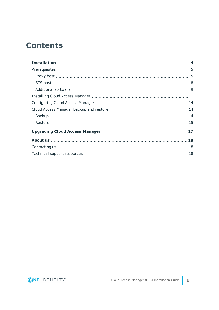## **Contents**

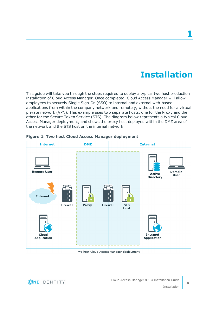# **Installation**

<span id="page-3-0"></span>This guide will take you through the steps required to deploy a typical two host production installation of Cloud Access Manager. Once completed, Cloud Access Manager will allow employees to securely Single Sign-On (SSO) to internal and external web-based applications from within the company network and remotely, without the need for a virtual private network (VPN). This example uses two separate hosts, one for the Proxy and the other for the Secure Token Service (STS). The diagram below represents a typical Cloud Access Manager deployment, and shows the proxy host deployed within the DMZ area of the network and the STS host on the internal network.



#### <span id="page-3-1"></span>**Figure 1: Two host Cloud Access Manager deployment**

Two host Cloud Access Manager deployment



**4**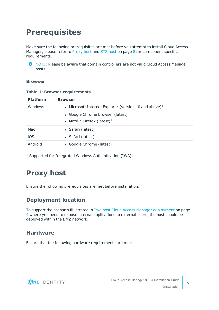# <span id="page-4-0"></span>**Prerequisites**

Make sure the following prerequisites are met before you attempt to install Cloud Access Manager, please refer to [Proxy](#page-4-1) host and STS host on [page](#page-7-0) 8 for component specific requirements.

O NOTE: Please be aware that domain controllers are not valid Cloud Access Manager hosts.

#### **Browser**

#### **Table 1: Browser requirements**

| <b>Platform</b> | <b>Browser</b>                                           |  |
|-----------------|----------------------------------------------------------|--|
| Windows         | • Microsoft Internet Explorer (version 10 and above) $1$ |  |
|                 | • Google Chrome browser (latest)                         |  |
|                 | • Mozilla Firefox (latest) $1$                           |  |
| Mac             | • Safari (latest)                                        |  |
| iOS             | • Safari (latest)                                        |  |
| Android         | • Google Chrome (latest)                                 |  |

<span id="page-4-1"></span>1 Supported for Integrated Windows Authentication (IWA).

## **Proxy host**

Ensure the following prerequisites are met before installation:

## **Deployment location**

To support the scenario illustrated in Two host Cloud Access Manager [deployment](#page-3-1) on page [4](#page-3-1) where you need to expose internal applications to external users, the host should be deployed within the DMZ network.

### **Hardware**

Ensure that the following hardware requirements are met:

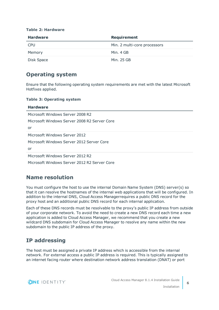| <b>Hardware</b> | <b>Requirement</b>           |
|-----------------|------------------------------|
| <b>CPU</b>      | Min. 2 multi-core processors |
| Memory          | Min. 4 GB                    |
| Disk Space      | Min. 25 GB                   |

#### **Table 2: Hardware**

## **Operating system**

Ensure that the following operating system requirements are met with the latest Microsoft Hotfixes applied.

#### **Table 3: Operating system**

| <b>Hardware</b>                              |
|----------------------------------------------|
| Microsoft Windows Server 2008 R2             |
| Microsoft Windows Server 2008 R2 Server Core |
| or                                           |
| Microsoft Windows Server 2012                |
| Microsoft Windows Server 2012 Server Core    |
| or                                           |
| Microsoft Windows Server 2012 R2             |
| Microsoft Windows Server 2012 R2 Server Core |
|                                              |

## **Name resolution**

You must configure the host to use the internal Domain Name System (DNS) server(s) so that it can resolve the hostnames of the internal web applications that will be configured. In addition to the internal DNS, Cloud Access Managerrequires a public DNS record for the proxy host and an additional public DNS record for each internal application.

Each of these DNS records must be resolvable to the proxy's public IP address from outside of your corporate network. To avoid the need to create a new DNS record each time a new application is added to Cloud Access Manager, we recommend that you create a new wildcard DNS subdomain for Cloud Access Manager to resolve any name within the new subdomain to the public IP address of the proxy.

## **IP addressing**

The host must be assigned a private IP address which is accessible from the internal network. For external access a public IP address is required. This is typically assigned to an internet facing router where destination network address translation (DNAT) or port

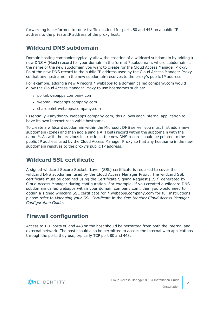forwarding is performed to route traffic destined for ports 80 and 443 on a public IP address to the private IP address of the proxy host.

### **Wildcard DNS subdomain**

Domain hosting companies typically allow the creation of a wildcard subdomain by adding a new DNS A (Host) record for your domain in the format \*.subdomain, where subdomain is the name of the new subdomain you want to create for the Cloud Access Manager Proxy. Point the new DNS record to the public IP address used by the Cloud Access Manager Proxy so that any hostname in the new subdomain resolves to the proxy's public IP address.

For example, adding a new A record \*.webapps to a domain called company.com would allow the Cloud Access Manager Proxy to use hostnames such as:

- portal.webapps.company.com
- webmail.webapps.company.com
- sharepoint.webapps.company.com

Essentially <anything>.webapps.company.com, this allows each internal application to have its own internet resolvable hostname.

To create a wildcard subdomain within the Microsoft DNS server you must first add a new subdomain (zone) and then add a single A (Host) record within the subdomain with the name \*. As with the previous instructions, the new DNS record should be pointed to the public IP address used by the Cloud Access Manager Proxy so that any hostname in the new subdomain resolves to the proxy's public IP address.

## **Wildcard SSL certificate**

A signed wildcard Secure Sockets Layer (SSL) certificate is required to cover the wildcard DNS subdomain used by the Cloud Access Manager Proxy. The wildcard SSL certificate must be obtained using the Certificate Signing Request (CSR) generated by Cloud Access Manager during configuration. For example, if you created a wildcard DNS subdomain called webapps within your domain company.com, then you would need to obtain a signed wildcard SSL certificate for \*.webapps.company.com for full instructions, please refer to *Managing your SSL Certificate* in the *One Identity Cloud Access Manager Configuration Guide*.

## **Firewall configuration**

Access to TCP ports 80 and 443 on the host should be permitted from both the internal and external network. The host should also be permitted to access the internal web applications through the ports they use, typically TCP port 80 and 443.

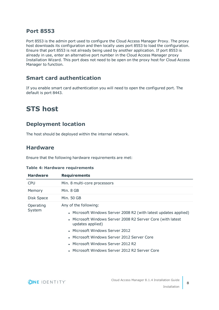### **Port 8553**

Port 8553 is the admin port used to configure the Cloud Access Manager Proxy. The proxy host downloads its configuration and then locally uses port 8553 to load the configuration. Ensure that port 8553 is not already being used by another application. If port 8553 is already in use, enter an alternative port number in the Cloud Access Manager proxy Installation Wizard. This port does not need to be open on the proxy host for Cloud Access Manager to function.

## **Smart card authentication**

If you enable smart card authentication you will need to open the configured port. The default is port 8443.

## <span id="page-7-0"></span>**STS host**

## **Deployment location**

The host should be deployed within the internal network.

### **Hardware**

Ensure that the following hardware requirements are met:

|  |  | <b>Table 4: Hardware requirements</b> |  |
|--|--|---------------------------------------|--|
|--|--|---------------------------------------|--|

| <b>Hardware</b> | <b>Requirements</b>                                                             |
|-----------------|---------------------------------------------------------------------------------|
| <b>CPU</b>      | Min. 8 multi-core processors                                                    |
| Memory          | Min. 8 GB                                                                       |
| Disk Space      | Min. 50 GB                                                                      |
| Operating       | Any of the following:                                                           |
| System          | • Microsoft Windows Server 2008 R2 (with latest updates applied)                |
|                 | • Microsoft Windows Server 2008 R2 Server Core (with latest<br>updates applied) |
|                 | • Microsoft Windows Server 2012                                                 |
|                 | • Microsoft Windows Server 2012 Server Core                                     |
|                 | • Microsoft Windows Server 2012 R2                                              |
|                 | • Microsoft Windows Server 2012 R2 Server Core                                  |
|                 |                                                                                 |

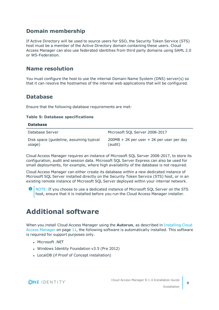## **Domain membership**

If Active Directory will be used to source users for SSO, the Security Token Service (STS) host must be a member of the Active Directory domain containing these users. Cloud Access Manager can also use federated identities from third party domains using SAML 2.0 or WS-Federation.

### **Name resolution**

You must configure the host to use the internal Domain Name System (DNS) server(s) so that it can resolve the hostnames of the internal web applications that will be configured.

### **Database**

Ensure that the following database requirements are met:

#### **Table 5: Database specifications**

| <b>Database</b>                                   |                                                        |
|---------------------------------------------------|--------------------------------------------------------|
| Database Server                                   | Microsoft SQL Server 2008-2017                         |
| Disk space (guideline, assuming typical<br>usage) | $200MB + 2K$ per user + 2K per user per day<br>(audit) |

Cloud Access Manager requires an instance of Microsoft SQL Server 2008-2017, to store its configuration, audit and session data. Microsoft SQL Server Express can also be used for small deployments, for example, where high availability of the database is not required.

Cloud Access Manager can either create its database within a new dedicated instance of Microsoft SQL Server installed directly on the Security Token Service (STS) host, or in an existing remote instance of Microsoft SQL Server deployed within your internal network.

6 NOTE: If you choose to use a dedicated instance of Microsoft SQL Server on the STS host, ensure that it is installed before you run the Cloud Access Manager installer.

## <span id="page-8-0"></span>**Additional software**

When you install Cloud Access Manager using the **Autorun**, as described in [Installing](#page-10-0) Cloud Access [Manager](#page-10-0) on page 11, the following software is automatically installed. This software is required for support purposes only.

- Microsoft .NET
- Windows Identity Foundation v3.5 (Pre 2012)
- LocalDB (if Proof of Concept installation)

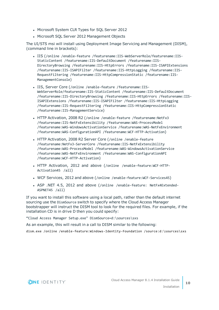- Microsoft System CLR Types for SQL Server 2012
- Microsoft SQL Server 2012 Management Objects

The UI/STS msi will install using Deployment Image Servicing and Management (DISM), (command line in brackets):

- <sup>l</sup> IIS (/online /enable-feature /featurename:IIS-WebServerRole/featurename:IIS-StaticContent /featurename:IIS-DefaultDocument /featurename:IIS-DirectoryBrowsing /featurename:IIS-HttpErrors /featurename:IIS-ISAPIExtensions /featurename:IIS-ISAPIFilter /featurename:IIS-HttpLogging /featurename:IIS-RequestFiltering /featurename:IIS-HttpCompressionStatic /featurename:IIS-ManagementConsole)
- IIS, Server Core (/online /enable-feature /featurename:IIS-WebServerRole/featurename:IIS-StaticContent /featurename:IIS-DefaultDocument /featurename:IIS-DirectoryBrowsing /featurename:IIS-HttpErrors /featurename:IIS-ISAPIExtensions /featurename:IIS-ISAPIFilter /featurename:IIS-HttpLogging /featurename:IIS-RequestFiltering /featurename:IIS-HttpCompressionStatic /featurename:IIS-ManagementService)
- HTTP Activation, 2008 R2 (/online /enable-feature /featurename:NetFx3 /featurename:IIS-NetFxExtensibility /featurename:WAS-ProcessModel /featurename:WAS-WindowsActivationService /featurename:WAS-NetFxEnvironment /featurename:WAS-ConfigurationAPI /featurename:WCF-HTTP-Activation)
- HTTP Activation, 2008 R2 Server Core (/online /enable-feature /featurename:NetFx3-ServerCore /featurename:IIS-NetFxExtensibility /featurename:WAS-ProcessModel /featurename:WAS-WindowsActivationService /featurename:WAS-NetFxEnvironment /featurename:WAS-ConfigurationAPI /featurename:WCF-HTTP-Activation)
- HTTP Activation, 2012 and above (/online /enable-feature:WCF-HTTP-Activation45 /all)
- WCF Services, 2012 and above (/online /enable-feature:WCF-Services45)
- ASP .NET 4.5, 2012 and above (/online /enable-feature: NetFx4Extended-ASPNET45 /all)

If you want to install this software using a local path, rather than the default internet sourcing use the DismSource switch to specify where the Cloud Access Manager bootstrapper will instruct the DISM tool to look for the required files. For example, if the installation CD is in drive D then you could specify:

"Cloud Access Manager Setup.exe" DismSource=d:\sources\sxs

As an example, this will result in a call to DISM similar to the following:

dism.exe /online /enable-feature:Windows-Identity-Foundation /source:d:\sources\sxs

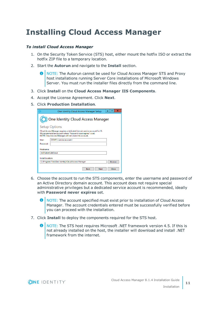## <span id="page-10-0"></span>**Installing Cloud Access Manager**

#### *To install Cloud Access Manager*

- 1. On the Security Token Service (STS) host, either mount the hotfix ISO or extract the hotfix ZIP file to a temporary location.
- 2. Start the **Autorun** and navigate to the **Install** section.
	- 0 NOTE: The Autorun cannot be used for Cloud Access Manager STS and Proxy host installations running Server Core installations of Microsoft Windows Server. You must run the installer files directly from the command line.
- 3. Click **Install** on the **Cloud Access Manager IIS Components**.
- 4. Accept the License Agreement. Click **Next**.
- 5. Click **Production Installation**.

| ×<br>One Identity Cloud Access Manager Setup                                                                                                                                                            |  |  |  |
|---------------------------------------------------------------------------------------------------------------------------------------------------------------------------------------------------------|--|--|--|
| One Identity Cloud Access Manager                                                                                                                                                                       |  |  |  |
| <b>Setup Options</b>                                                                                                                                                                                    |  |  |  |
| Cloud Access Manager requires a dedicated domain service account for IIS.<br>We recommend an account where "Password never expires" is set.<br>NOTE: Cloud Access Manager will not create this account. |  |  |  |
| DOM1\ <service account=""><br/>Usen</service>                                                                                                                                                           |  |  |  |
| Password:                                                                                                                                                                                               |  |  |  |
| Hostname:                                                                                                                                                                                               |  |  |  |
| sts01.dom1.def.local                                                                                                                                                                                    |  |  |  |
| Install location:                                                                                                                                                                                       |  |  |  |
| C:\Program Files\One Identity\Cloud Access Manager<br><b>Browse</b>                                                                                                                                     |  |  |  |
| Next<br>Close<br><b>Back</b>                                                                                                                                                                            |  |  |  |

- 6. Choose the account to run the STS components, enter the username and password of an Active Directory domain account. This account does not require special administrative privileges but a dedicated service account is recommended, ideally with **Password never expires** set.
	- Œ NOTE: The account specified must exist prior to installation of Cloud Access Manager. The account credentials entered must be successfully verified before you can proceed with the installation.
- 7. Click **Install** to deploy the components required for the STS host.
	- NOTE: The STS host requires Microsoft .NET framework version 4.5. If this is not already installed on the host, the installer will download and install .NET framework from the internet.

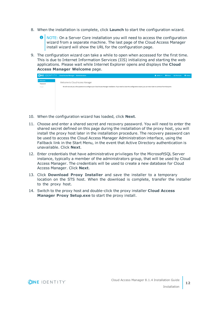- 8. When the installation is complete, click **Launch** to start the configuration wizard.
	- **O** NOTE: On a Server Core installation you will need to access the configuration wizard from a separate machine. The last page of the Cloud Access Manager install wizard will show the URL for the configuration page.
- 9. The configuration wizard can take a while to open when accessed for the first time. This is due to Internet Information Services (IIS) initializing and starting the web applications. Please wait while Internet Explorer opens and displays the **Cloud Access Manager Welcome** page.

|           | <b>ONE IDENTITY</b> Cloud Access Manager Administration                                                                                                                                    | $\triangle$ admin $\blacktriangledown$ | About <b>Ex Shortcuts</b> | Status |
|-----------|--------------------------------------------------------------------------------------------------------------------------------------------------------------------------------------------|----------------------------------------|---------------------------|--------|
| > Welcome | Welcome to Cloud Access Manager                                                                                                                                                            |                                        |                           |        |
| Password  |                                                                                                                                                                                            |                                        |                           |        |
| Finish    | We will now ask you a few questions to configure your Cloud Access Manager installation. If you need to close this configuration wizard, you can return later to continue from that point. |                                        |                           |        |
|           |                                                                                                                                                                                            |                                        |                           |        |
|           |                                                                                                                                                                                            |                                        |                           |        |
|           |                                                                                                                                                                                            |                                        |                           |        |
|           |                                                                                                                                                                                            |                                        |                           |        |
|           |                                                                                                                                                                                            |                                        |                           |        |
|           |                                                                                                                                                                                            |                                        |                           |        |

- 10. When the configuration wizard has loaded, click **Next**.
- 11. Choose and enter a shared secret and recovery password. You will need to enter the shared secret defined on this page during the installation of the proxy host, you will install the proxy host later in the installation procedure. The recovery password can be used to access the Cloud Access Manager Administration interface, using the Fallback link in the Start Menu, in the event that Active Directory authentication is unavailable. Click **Next**.
- 12. Enter credentials that have administrative privileges for the MicrosoftSQL Server instance, typically a member of the administrators group, that will be used by Cloud Access Manager. The credentials will be used to create a new database for Cloud Access Manager. Click **Next**.
- 13. Click **Download Proxy Installer** and save the installer to a temporary location on the STS host. When the download is complete, transfer the installer to the proxy host.
- 14. Switch to the proxy host and double-click the proxy installer **Cloud Access Manager Proxy Setup.exe** to start the proxy install.

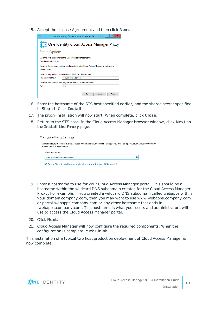15. Accept the License Agreement and then click **Next**.

|                                                                                            | ×<br>One Identity Cloud Access Manager Proxy Setup |  |  |
|--------------------------------------------------------------------------------------------|----------------------------------------------------|--|--|
| One Identity Cloud Access Manager Proxy                                                    |                                                    |  |  |
| <b>Setup Options</b>                                                                       |                                                    |  |  |
| Enter the DNS hostname for the Cloud Access Manager Server<br><b>Cloud Access Manager</b>  |                                                    |  |  |
| Enter the shared secret to allow the Proxy to join the Cloud Access Manager infrastructure |                                                    |  |  |
| Shared secret<br>Enter the fully qualified domain name (FQDN) of this machine              |                                                    |  |  |
| This machine FODN                                                                          | proxy01.dom1.def.local                             |  |  |
| Enter the port number for Proxy service internal communications                            |                                                    |  |  |
| Port                                                                                       | 8553                                               |  |  |
|                                                                                            | Install<br>Close<br><b>Back</b>                    |  |  |

- 16. Enter the hostname of the STS host specified earlier, and the shared secret specified in Step 11. Click **Install**.
- 17. The proxy installation will now start. When complete, click **Close**.
- 18. Return to the STS host. In the Cloud Access Manager browser window, click **Next** on the **Install the Proxy** page.

| Configure Proxy Settings                                                                                                                                     |  |
|--------------------------------------------------------------------------------------------------------------------------------------------------------------|--|
| Please configure the main internet visible hostname for Cloud Access Manager. You must configure DNS so that this hostname<br>resolves to the proxy machine. |  |
| Proxy Hostname                                                                                                                                               |  |
| www.webapps.democorp.com                                                                                                                                     |  |
| Expose Cloud Access Manager application portal at the root of this domain?                                                                                   |  |

- 19. Enter a hostname to use for your Cloud Access Manager portal. This should be a hostname within the wildcard DNS subdomain created for the Cloud Access Manager Proxy. For example, if you created a wildcard DNS subdomain called webapps within your domain company.com, then you may want to use www.webapps.company.com or portal.webapps.company.com or any other hostname that ends in .webapps.company.com. This hostname is what your users and administrators will use to access the Cloud Access Manager portal.
- 20. Click **Next**.
- 21. Cloud Access Manager will now configure the required components. When the configuration is complete, click **Finish**.

This installation of a typical two host production deployment of Cloud Access Manager is now complete.

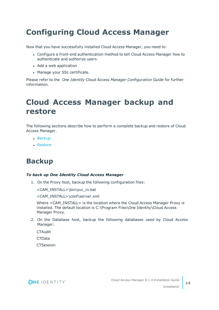# <span id="page-13-0"></span>**Configuring Cloud Access Manager**

Now that you have successfully installed Cloud Access Manager, you need to:

- Configure a front-end authentication method to tell Cloud Access Manager how to authenticate and authorize users
- Add a web application
- Manage your SSL certificate.

Please refer to the *One Identity Cloud Access Manager Configuration Guide* for further information.

## <span id="page-13-1"></span>**Cloud Access Manager backup and restore**

The following sections describe how to perform a complete backup and restore of Cloud Access Manager.

- $-Backup$  $-Backup$
- [Restore](#page-14-0)

## <span id="page-13-2"></span>**Backup**

#### *To back up One Identity Cloud Access Manager*

1. On the Proxy host, backup the following configuration files:

<CAM\_INSTALL>\bin\svc\_in.bat

<CAM\_INSTALL>\conf\server.xml

Where <CAM\_INSTALL> is the location where the Cloud Access Manager Proxy is installed. The default location is C:\Program Files\One Identity\Cloud Access Manager Proxy.

2. On the Database host, backup the following databases used by Cloud Access Manager:

**CTAudit** 

**CTData** 

**CTSession** 

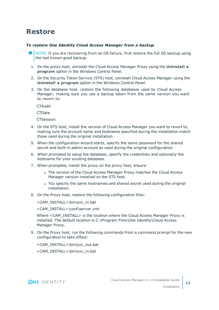## <span id="page-14-0"></span>**Restore**

#### *To restore One Identity Cloud Access Manager from a backup*

- NOTE: If you are recovering from an OS failure, first restore the full OS backup using 6 the last known good backup.
- 1. On the proxy host, uninstall the Cloud Access Manager Proxy using the **Uninstall a program** option in the Windows Control Panel.
- 2. On the Security Token Service (STS) host, uninstall Cloud Access Manager using the **Uninstall a program** option in the Windows Control Panel.
- 3. On the database host, restore the following databases used by Cloud Access Manager, making sure you use a backup taken from the same version you want to revert to:

**CTAudit** 

**CTData** 

**CTSession** 

- 4. On the STS host, install the version of Cloud Access Manager you want to revert to, making sure the account name and hostname specified during the installation match those used during the original installation.
- 5. When the configuration wizard starts, specify the same password for the shared secret and built-in admin account as used during the original configuration.
- 6. When prompted to setup the database, specify the credentials and optionally the hostname for your existing database.
- 7. When prompted, install the proxy on the proxy host, ensure:
	- The version of the Cloud Access Manager Proxy matches the Cloud Access Manager version installed on the STS host.
	- You specify the same hostnames and shared secret used during the original installation.
- 8. On the Proxy host, restore the following configuration files:

<CAM\_INSTALL>\bin\svc\_in.bat

<CAM\_INSTALL>\conf\server.xml

Where <CAM\_INSTALL> is the location where the Cloud Access Manager Proxy is installed. The default location is C:\Program Files\One Identity\Cloud Access Manager Proxy.

9. On the Proxy host, run the following commands from a command prompt for the new configuration to take effect:

<CAM\_INSTALL>\bin\svc\_out.bat

<CAM\_INSTALL>\bin\svc\_in.bat

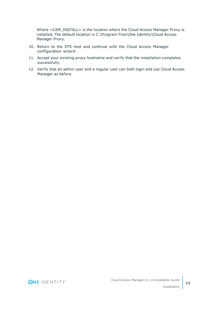Where <CAM\_INSTALL> is the location where the Cloud Access Manager Proxy is installed. The default location is C:\Program Files\One Identity\Cloud Access Manager Proxy.

- 10. Return to the STS host and continue with the Cloud Access Manager configuration wizard.
- 11. Accept your existing proxy hostname and verify that the installation completes successfully.
- 12. Verify that an admin user and a regular user can both login and use Cloud Access Manager as before.

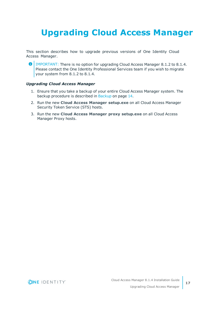# <span id="page-16-0"></span>**Upgrading Cloud Access Manager**

This section describes how to upgrade previous versions of One Identity Cloud Access Manager.

**O** | IMPORTANT: There is no option for upgrading Cloud Access Manager 8.1.2 to 8.1.4. Please contact the One Identity Professional Services team if you wish to migrate your system from 8.1.2 to 8.1.4.

#### *Upgrading Cloud Access Manager*

- 1. Ensure that you take a backup of your entire Cloud Access Manager system. The backup procedure is described in [Backup](#page-13-2) on page 14.
- 2. Run the new **Cloud Access Manager setup.exe** on all Cloud Access Manager Security Token Service (STS) hosts.
- 3. Run the new **Cloud Access Manager proxy setup.exe** on all Cloud Access Manager Proxy hosts.